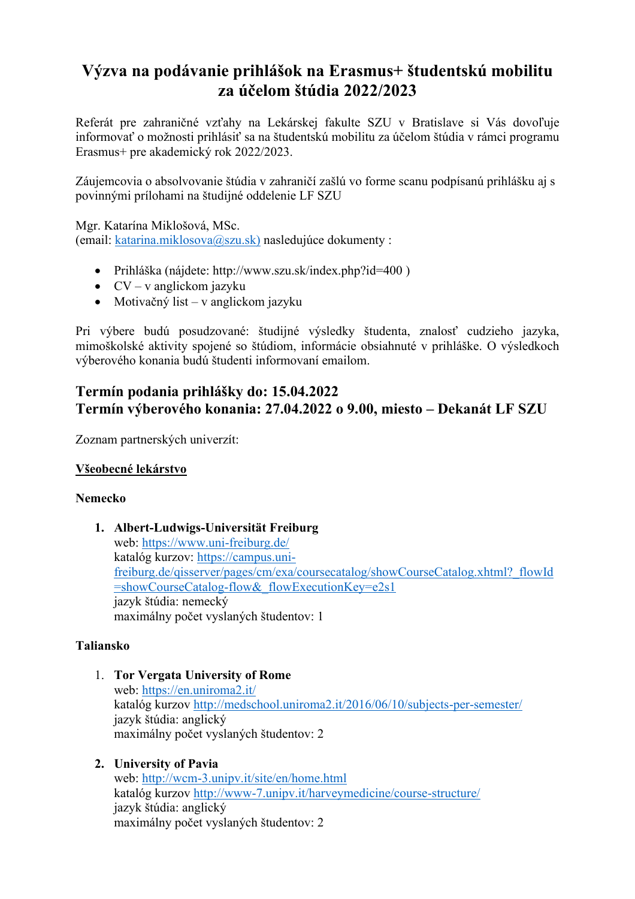# **Výzva na podávanie prihlášok na Erasmus+ študentskú mobilitu za účelom štúdia 2022/2023**

Referát pre zahraničné vzťahy na Lekárskej fakulte SZU v Bratislave si Vás dovoľuje informovať o možnosti prihlásiť sa na študentskú mobilitu za účelom štúdia v rámci programu Erasmus+ pre akademický rok 2022/2023.

Záujemcovia o absolvovanie štúdia v zahraničí zašlú vo forme scanu podpísanú prihlášku aj s povinnými prílohami na študijné oddelenie LF SZU

Mgr. Katarína Miklošová, MSc. (email: [katarina.miklosova@szu.sk\)](mailto:katarina.miklosova@szu.sk)) nasledujúce dokumenty :

- Prihláška (nájdete: http://www.szu.sk/index.php?id=400)
- $CV v$  anglickom jazyku
- Motivačný list v anglickom jazyku

Pri výbere budú posudzované: študijné výsledky študenta, znalosť cudzieho jazyka, mimoškolské aktivity spojené so štúdiom, informácie obsiahnuté v prihláške. O výsledkoch výberového konania budú študenti informovaní emailom.

# **Termín podania prihlášky do: 15.04.2022 Termín výberového konania: 27.04.2022 o 9.00, miesto – Dekanát LF SZU**

Zoznam partnerských univerzít:

#### **Všeobecné lekárstvo**

#### **Nemecko**

**1. Albert-Ludwigs-Universität Freiburg** web: <https://www.uni-freiburg.de/> katalóg kurzov: [https://campus.uni](https://campus.uni-freiburg.de/qisserver/pages/cm/exa/coursecatalog/showCourseCatalog.xhtml?_flowId=showCourseCatalog-flow&_flowExecutionKey=e2s1)[freiburg.de/qisserver/pages/cm/exa/coursecatalog/showCourseCatalog.xhtml?\\_flowId](https://campus.uni-freiburg.de/qisserver/pages/cm/exa/coursecatalog/showCourseCatalog.xhtml?_flowId=showCourseCatalog-flow&_flowExecutionKey=e2s1) [=showCourseCatalog-flow&\\_flowExecutionKey=e2s1](https://campus.uni-freiburg.de/qisserver/pages/cm/exa/coursecatalog/showCourseCatalog.xhtml?_flowId=showCourseCatalog-flow&_flowExecutionKey=e2s1) jazyk štúdia: nemecký maximálny počet vyslaných študentov: 1

#### **Taliansko**

- 1. **Tor Vergata University of Rome** web: <https://en.uniroma2.it/> katalóg kurzov <http://medschool.uniroma2.it/2016/06/10/subjects-per-semester/> jazyk štúdia: anglický maximálny počet vyslaných študentov: 2
- **2. University of Pavia** web: <http://wcm-3.unipv.it/site/en/home.html> katalóg kurzov <http://www-7.unipv.it/harveymedicine/course-structure/> jazyk štúdia: anglický maximálny počet vyslaných študentov: 2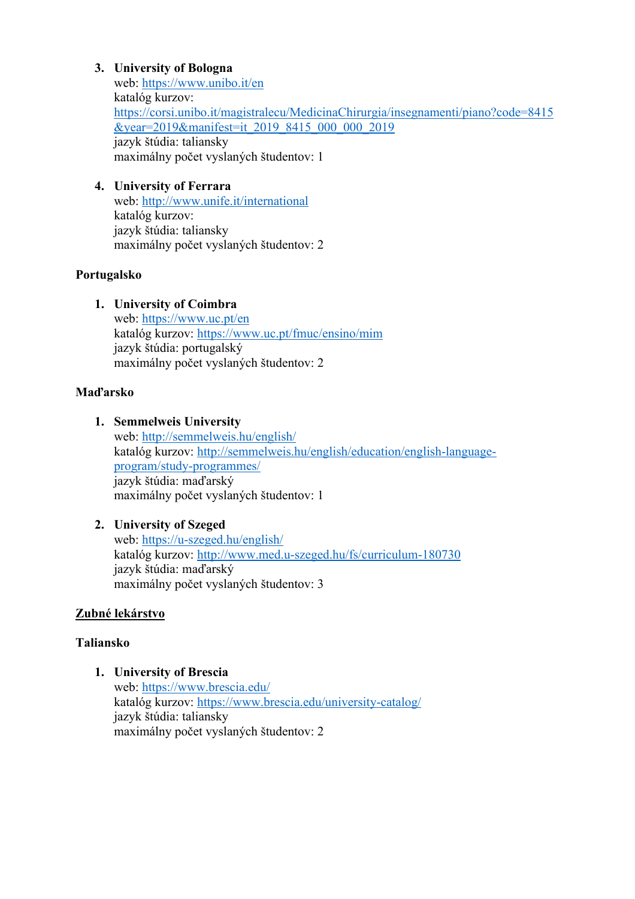#### **3. University of Bologna**

web: <https://www.unibo.it/en> katalóg kurzov: [https://corsi.unibo.it/magistralecu/MedicinaChirurgia/insegnamenti/piano?code=8415](https://corsi.unibo.it/magistralecu/MedicinaChirurgia/insegnamenti/piano?code=8415&year=2019&manifest=it_2019_8415_000_000_2019) [&year=2019&manifest=it\\_2019\\_8415\\_000\\_000\\_2019](https://corsi.unibo.it/magistralecu/MedicinaChirurgia/insegnamenti/piano?code=8415&year=2019&manifest=it_2019_8415_000_000_2019) jazyk štúdia: taliansky maximálny počet vyslaných študentov: 1

## **4. University of Ferrara**

web: <http://www.unife.it/international> katalóg kurzov: jazyk štúdia: taliansky maximálny počet vyslaných študentov: 2

#### **Portugalsko**

#### **1. University of Coimbra**

web: <https://www.uc.pt/en> katalóg kurzov: <https://www.uc.pt/fmuc/ensino/mim> jazyk štúdia: portugalský maximálny počet vyslaných študentov: 2

#### **Maďarsko**

#### **1. Semmelweis University**

web: <http://semmelweis.hu/english/> katalóg kurzov: [http://semmelweis.hu/english/education/english-language](http://semmelweis.hu/english/education/english-language-program/study-programmes/)[program/study-programmes/](http://semmelweis.hu/english/education/english-language-program/study-programmes/) jazyk štúdia: maďarský maximálny počet vyslaných študentov: 1

#### **2. University of Szeged** web: <https://u-szeged.hu/english/> katalóg kurzov: <http://www.med.u-szeged.hu/fs/curriculum-180730> jazyk štúdia: maďarský maximálny počet vyslaných študentov: 3

## **Zubné lekárstvo**

#### **Taliansko**

**1. University of Brescia** web: <https://www.brescia.edu/> katalóg kurzov: <https://www.brescia.edu/university-catalog/> jazyk štúdia: taliansky maximálny počet vyslaných študentov: 2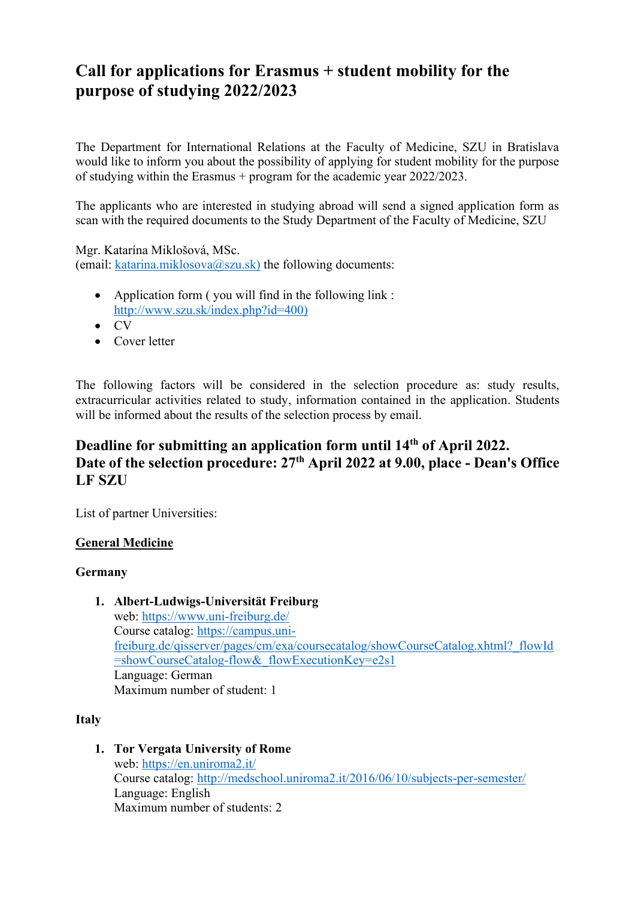# **Call for applications for Erasmus + student mobility for the purpose of studying 2022/2023**

The Department for International Relations at the Faculty of Medicine, SZU in Bratislava would like to inform you about the possibility of applying for student mobility for the purpose of studying within the Erasmus + program for the academic year 2022/2023.

The applicants who are interested in studying abroad will send a signed application form as scan with the required documents to the Study Department of the Faculty of Medicine, SZU

Mgr. Katarína Miklošová, MSc. (email: [katarina.miklosova@szu.sk\)](mailto:katarina.miklosova@szu.sk)) the following documents:

- Application form ( you will find in the following link : [http://www.szu.sk/index.php?id=400\)](http://www.szu.sk/index.php?id=400))
- CV
- Cover letter

The following factors will be considered in the selection procedure as: study results, extracurricular activities related to study, information contained in the application. Students will be informed about the results of the selection process by email.

# **Deadline for submitting an application form until 14th of April 2022. Date of the selection procedure: 27th April 2022 at 9.00, place - Dean's Office LF SZU**

List of partner Universities:

#### **General Medicine**

#### **Germany**

**1. Albert-Ludwigs-Universität Freiburg** web: <https://www.uni-freiburg.de/> Course catalog: [https://campus.uni](https://campus.uni-freiburg.de/qisserver/pages/cm/exa/coursecatalog/showCourseCatalog.xhtml?_flowId=showCourseCatalog-flow&_flowExecutionKey=e2s1)[freiburg.de/qisserver/pages/cm/exa/coursecatalog/showCourseCatalog.xhtml?\\_flowId](https://campus.uni-freiburg.de/qisserver/pages/cm/exa/coursecatalog/showCourseCatalog.xhtml?_flowId=showCourseCatalog-flow&_flowExecutionKey=e2s1) [=showCourseCatalog-flow&\\_flowExecutionKey=e2s1](https://campus.uni-freiburg.de/qisserver/pages/cm/exa/coursecatalog/showCourseCatalog.xhtml?_flowId=showCourseCatalog-flow&_flowExecutionKey=e2s1) Language: German Maximum number of student: 1

#### **Italy**

**1. Tor Vergata University of Rome** web: <https://en.uniroma2.it/> Course catalog: <http://medschool.uniroma2.it/2016/06/10/subjects-per-semester/> Language: English Maximum number of students: 2